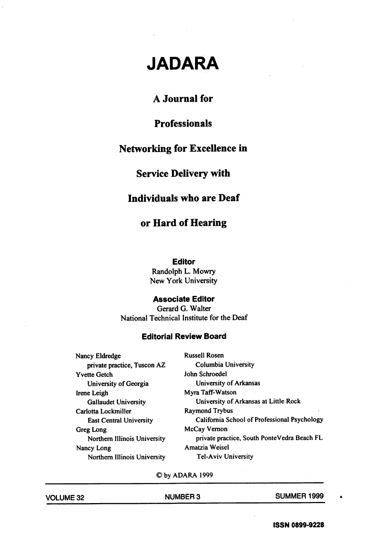# JADARA

# A Journal for

# **Professionals**

# Networking for Excellence in

# Service Delivery with

## Individuals who are Deaf

# or Hard of Hearing

#### Editor

Randolph L. Mowry New York University

#### Associate Editor

Gerard G. Walter National Technical Institute for the Deaf

#### Editorial Review Board

Nancy Eldredge Russell Rosen private practice, Tuscon AZ Columbia University Yvette Getch John Schroedel University of Georgia University of Arkansas Irene Leigh Myra Taff-Watson Carlotta Lockmiller Raymond Trybus Greg Long McCay Vernon Nancy Long **Amatzia Weisel** Northern Illinois University Tel-Aviv University

Gallaudet University University of Arkansas at Little Rock East Central University California School of Professional Psychology Northern Illinois University private practice. South PonteVedra Beach FL

©byADARA1999

| <b>VOLUME 32</b> | <b>NUMBER 3</b> | <b>SUMMER 1999</b> |
|------------------|-----------------|--------------------|
|                  |                 |                    |

|  | <b>VOLUME 32</b> |
|--|------------------|
|  |                  |

ISSN 0899-9228